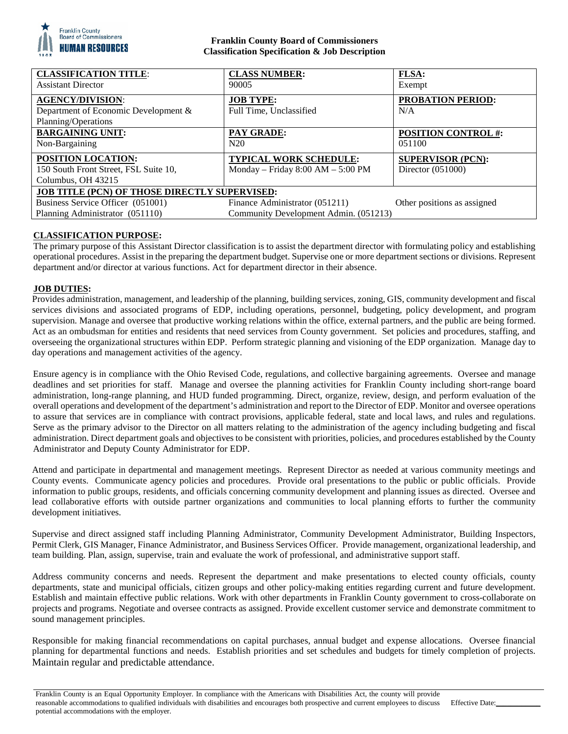

## **Franklin County Board of Commissioners Classification Specification & Job Description**

| <b>CLASSIFICATION TITLE:</b>                         | <b>CLASS NUMBER:</b>                  | <b>FLSA:</b>                |
|------------------------------------------------------|---------------------------------------|-----------------------------|
| <b>Assistant Director</b>                            | 90005                                 | Exempt                      |
| <b>AGENCY/DIVISION:</b>                              | <b>JOB TYPE:</b>                      | <b>PROBATION PERIOD:</b>    |
| Department of Economic Development &                 | Full Time, Unclassified               | N/A                         |
| Planning/Operations                                  |                                       |                             |
| <b>BARGAINING UNIT:</b>                              | PAY GRADE:                            | <b>POSITION CONTROL #:</b>  |
| Non-Bargaining                                       | N20                                   | 051100                      |
| POSITION LOCATION:                                   | <b>TYPICAL WORK SCHEDULE:</b>         | <b>SUPERVISOR (PCN):</b>    |
| 150 South Front Street, FSL Suite 10,                | Monday – Friday $8:00 AM - 5:00 PM$   | Director $(051000)$         |
| Columbus, OH 43215                                   |                                       |                             |
| <b>JOB TITLE (PCN) OF THOSE DIRECTLY SUPERVISED:</b> |                                       |                             |
| Business Service Officer (051001)                    | Finance Administrator (051211)        | Other positions as assigned |
| Planning Administrator (051110)                      | Community Development Admin. (051213) |                             |

# **CLASSIFICATION PURPOSE:**

The primary purpose of this Assistant Director classification is to assist the department director with formulating policy and establishing operational procedures. Assist in the preparing the department budget. Supervise one or more department sections or divisions. Represent department and/or director at various functions. Act for department director in their absence.

### **JOB DUTIES:**

Provides administration, management, and leadership of the planning, building services, zoning, GIS, community development and fiscal services divisions and associated programs of EDP, including operations, personnel, budgeting, policy development, and program supervision. Manage and oversee that productive working relations within the office, external partners, and the public are being formed. Act as an ombudsman for entities and residents that need services from County government. Set policies and procedures, staffing, and overseeing the organizational structures within EDP. Perform strategic planning and visioning of the EDP organization. Manage day to day operations and management activities of the agency.

Ensure agency is in compliance with the Ohio Revised Code, regulations, and collective bargaining agreements. Oversee and manage deadlines and set priorities for staff. Manage and oversee the planning activities for Franklin County including short-range board administration, long-range planning, and HUD funded programming. Direct, organize, review, design, and perform evaluation of the overall operations and development of the department's administration and report to the Director of EDP. Monitor and oversee operations to assure that services are in compliance with contract provisions, applicable federal, state and local laws, and rules and regulations. Serve as the primary advisor to the Director on all matters relating to the administration of the agency including budgeting and fiscal administration. Direct department goals and objectives to be consistent with priorities, policies, and procedures established by the County Administrator and Deputy County Administrator for EDP.

Attend and participate in departmental and management meetings. Represent Director as needed at various community meetings and County events. Communicate agency policies and procedures. Provide oral presentations to the public or public officials. Provide information to public groups, residents, and officials concerning community development and planning issues as directed. Oversee and lead collaborative efforts with outside partner organizations and communities to local planning efforts to further the community development initiatives.

Supervise and direct assigned staff including Planning Administrator, Community Development Administrator, Building Inspectors, Permit Clerk, GIS Manager, Finance Administrator, and Business Services Officer. Provide management, organizational leadership, and team building. Plan, assign, supervise, train and evaluate the work of professional, and administrative support staff.

Address community concerns and needs. Represent the department and make presentations to elected county officials, county departments, state and municipal officials, citizen groups and other policy-making entities regarding current and future development. Establish and maintain effective public relations. Work with other departments in Franklin County government to cross-collaborate on projects and programs. Negotiate and oversee contracts as assigned. Provide excellent customer service and demonstrate commitment to sound management principles.

Responsible for making financial recommendations on capital purchases, annual budget and expense allocations. Oversee financial planning for departmental functions and needs. Establish priorities and set schedules and budgets for timely completion of projects. Maintain regular and predictable attendance.